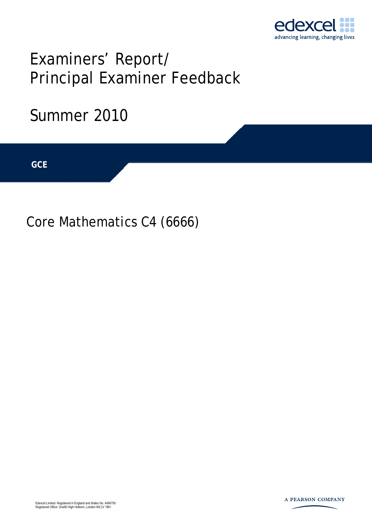

# Examiners' Report/ Principal Examiner Feedback

## Summer 2010

**IGCSE GCE** 

Core Mathematics C4 (6666)

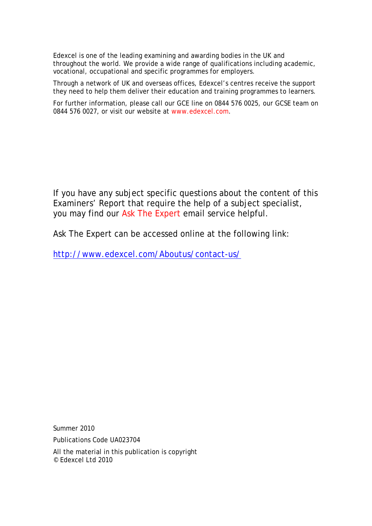Edexcel is one of the leading examining and awarding bodies in the UK and throughout the world. We provide a wide range of qualifications including academic, vocational, occupational and specific programmes for employers.

Through a network of UK and overseas offices, Edexcel's centres receive the support they need to help them deliver their education and training programmes to learners.

For further information, please call our GCE line on 0844 576 0025, our GCSE team on 0844 576 0027, or visit our website at www.edexcel.com.

If you have any subject specific questions about the content of this Examiners' Report that require the help of a subject specialist, you may find our Ask The Expert email service helpful.

Ask The Expert can be accessed online at the following link:

http://www.edexcel.com/Aboutus/contact-us/

Summer 2010

Publications Code UA023704

All the material in this publication is copyright © Edexcel Ltd 2010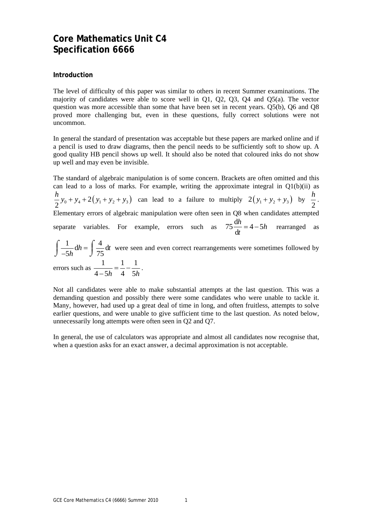### **Core Mathematics Unit C4 Specification 6666**

#### **Introduction**

The level of difficulty of this paper was similar to others in recent Summer examinations. The majority of candidates were able to score well in Q1, Q2, Q3, Q4 and Q5(a). The vector question was more accessible than some that have been set in recent years. Q5(b), Q6 and Q8 proved more challenging but, even in these questions, fully correct solutions were not uncommon.

In general the standard of presentation was acceptable but these papers are marked online and if a pencil is used to draw diagrams, then the pencil needs to be sufficiently soft to show up. A good quality HB pencil shows up well. It should also be noted that coloured inks do not show up well and may even be invisible.

The standard of algebraic manipulation is of some concern. Brackets are often omitted and this can lead to a loss of marks. For example, writing the approximate integral in  $Q1(b)(ii)$  as  $\frac{h}{2}y_0 + y_4 + 2(y_1 + y_2 + y_3)$  can lead to a failure to multiply  $2(y_1 + y_2 + y_3)$  by  $\frac{h}{2}$ . Elementary errors of algebraic manipulation were often seen in Q8 when candidates attempted separate variables. For example, errors such as  $75\frac{dh}{I} = 4-5$ d  $\frac{h}{h} = 4 - 5h$ *t*  $= 4 - 5h$  rearranged as

 $\frac{1}{\pi} dh = \int \frac{4}{\pi} dl$  $5h$   $J$  75  $\int \frac{1}{-5h} dh = \int \frac{4}{75} dt$  were seen and even correct rearrangements were sometimes followed by

errors such as  $\frac{1}{4-5h} = \frac{1}{4} - \frac{1}{5h}$ .

Not all candidates were able to make substantial attempts at the last question. This was a demanding question and possibly there were some candidates who were unable to tackle it. Many, however, had used up a great deal of time in long, and often fruitless, attempts to solve earlier questions, and were unable to give sufficient time to the last question. As noted below, unnecessarily long attempts were often seen in Q2 and Q7.

In general, the use of calculators was appropriate and almost all candidates now recognise that, when a question asks for an exact answer, a decimal approximation is not acceptable.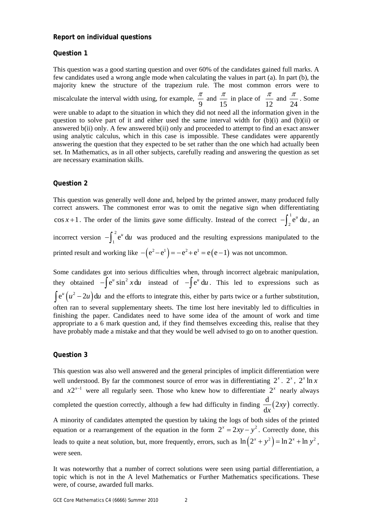#### **Report on individual questions**

#### **Question 1**

This question was a good starting question and over 60% of the candidates gained full marks. A few candidates used a wrong angle mode when calculating the values in part (a). In part (b), the majority knew the structure of the trapezium rule. The most common errors were to miscalculate the interval width using, for example,  $\frac{\pi}{9}$  and  $\frac{\pi}{15}$  in place of  $\frac{\pi}{12}$  and 24  $\frac{\pi}{\sqrt{2}}$ . Some were unable to adapt to the situation in which they did not need all the information given in the question to solve part of it and either used the same interval width for  $(b)(i)$  and  $(b)(ii)$  or answered b(ii) only. A few answered b(ii) only and proceeded to attempt to find an exact answer using analytic calculus, which in this case is impossible. These candidates were apparently answering the question that they expected to be set rather than the one which had actually been set. In Mathematics, as in all other subjects, carefully reading and answering the question as set are necessary examination skills.

#### **Question 2**

This question was generally well done and, helped by the printed answer, many produced fully correct answers. The commonest error was to omit the negative sign when differentiating  $\cos x + 1$ . The order of the limits gave some difficulty. Instead of the correct  $-\int_0^1$  $-\int_2^1 e^u du$ , an incorrect version  $-\int_{0}^{2}$  $-\int_{1}^{2} e^{u} du$  was produced and the resulting expressions manipulated to the printed result and working like  $- (e^2 - e^1) = -e^2 + e^1 = e(e-1)$  was not uncommon.

Some candidates got into serious difficulties when, through incorrect algebraic manipulation, they obtained  $-\int e^u \sin^2 x \, du$  instead of  $-\int e^u \, du$ . This led to expressions such as  $\int e^{u}(u^{2}-2u)du$  and the efforts to integrate this, either by parts twice or a further substitution, often ran to several supplementary sheets. The time lost here inevitably led to difficulties in finishing the paper. Candidates need to have some idea of the amount of work and time appropriate to a 6 mark question and, if they find themselves exceeding this, realise that they have probably made a mistake and that they would be well advised to go on to another question.

#### **Question 3**

This question was also well answered and the general principles of implicit differentiation were well understood. By far the commonest source of error was in differentiating  $2^x$ .  $2^x$ ,  $2^x \ln x$ and  $x2^{x-1}$  were all regularly seen. Those who knew how to differentiate  $2^x$  nearly always completed the question correctly, although a few had difficulty in finding  $\frac{d}{d} (2xy)$ d *xy x* correctly.

A minority of candidates attempted the question by taking the logs of both sides of the printed equation or a rearrangement of the equation in the form  $2^{x} = 2xy - y^{2}$ . Correctly done, this leads to quite a neat solution, but, more frequently, errors, such as  $\ln (2^x + y^2) = \ln 2^x + \ln y^2$ , were seen.

It was noteworthy that a number of correct solutions were seen using partial differentiation, a topic which is not in the A level Mathematics or Further Mathematics specifications. These were, of course, awarded full marks.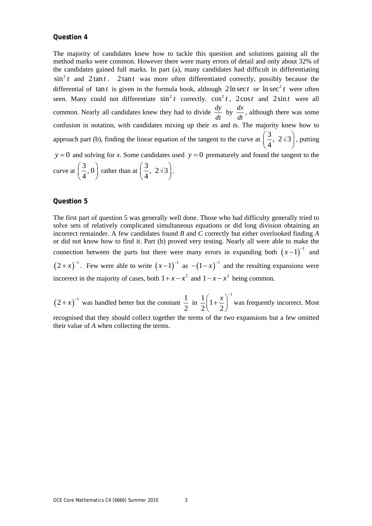#### **Question 4**

The majority of candidates knew how to tackle this question and solutions gaining all the method marks were common. However there were many errors of detail and only about 32% of the candidates gained full marks. In part (a), many candidates had difficult in differentiating  $\sin^2 t$  and  $2 \tan t$ .  $2 \tan t$  was more often differentiated correctly, possibly because the differential of tan *t* is given in the formula book, although  $2 \ln \sec t$  or  $\ln \sec^2 t$  were often seen. Many could not differentiate  $\sin^2 t$  correctly.  $\cos^2 t$ ,  $2\cos t$  and  $2\sin t$  were all common. Nearly all candidates knew they had to divide  $\frac{dy}{dt}$  by  $\frac{dx}{dt}$ , although there was some confusion in notation, with candidates mixing up their *x*s and *t*s. The majority knew how to approach part (b), finding the linear equation of the tangent to the curve at  $\left(\frac{3}{2}, 2\sqrt{3}\right)$  $\left(\frac{3}{4}, 2\sqrt{3}\right)$ , putting  $y = 0$  and solving for *x*. Some candidates used  $y = 0$  prematurely and found the tangent to the curve at  $\left(\frac{3}{2}, 0\right)$  $\left(\frac{3}{4}, 0\right)$  rather than at  $\left(\frac{3}{4}, 2\sqrt{3}\right)$ .

#### **Question 5**

The first part of question 5 was generally well done. Those who had difficulty generally tried to solve sets of relatively complicated simultaneous equations or did long division obtaining an incorrect remainder. A few candidates found *B* and *C* correctly but either overlooked finding *A* or did not know how to find it. Part (b) proved very testing. Nearly all were able to make the connection between the parts but there were many errors in expanding both  $(x-1)^{-1}$  and  $(2+x)^{-1}$ . Few were able to write  $(x-1)^{-1}$  as  $-(1-x)^{-1}$  and the resulting expansions were incorrect in the majority of cases, both  $1 + x - x^2$  and  $1 - x - x^2$  being common.

 $(2+x)^{-1}$  was handled better but the constant  $\frac{1}{2}$ 2 in  $\frac{1}{2}\left(1+\frac{x}{2}\right)^{-1}$  $2(2)$  $\left(1+\frac{x}{2}\right)^{-1}$  was frequently incorrect. Most recognised that they should collect together the terms of the two expansions but a few omitted their value of *A* when collecting the terms.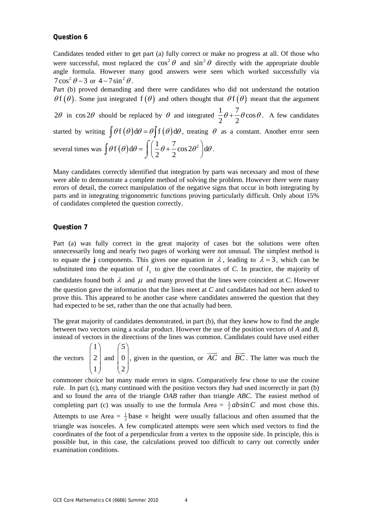#### **Question 6**

Candidates tended either to get part (a) fully correct or make no progress at all. Of those who were successful, most replaced the  $\cos^2 \theta$  and  $\sin^2 \theta$  directly with the appropriate double angle formula. However many good answers were seen which worked successfully via  $7\cos^2\theta - 3$  or  $4 - 7\sin^2\theta$ .

Part (b) proved demanding and there were candidates who did not understand the notation  $\theta f(\theta)$ . Some just integrated  $f(\theta)$  and others thought that  $\theta f(\theta)$  meant that the argument

2 $\theta$  in cos 2 $\theta$  should be replaced by  $\theta$  and integrated  $\frac{1}{2}\theta + \frac{7}{6}\theta$ cos  $2^{\degree}$  2  $\theta + \frac{1}{2}\theta \cos \theta$ . A few candidates started by writing  $\int \theta f(\theta) d\theta = \theta \int f(\theta) d\theta$ , treating  $\theta$  as a constant. Another error seen several times was  $\int \theta f(\theta) d\theta = \int \left( \frac{1}{2} \theta + \frac{7}{2} \cos 2\theta^2 \right) d\theta$  $\theta f(\theta) d\theta = \int \left( \frac{1}{2} \theta + \frac{7}{2} \cos 2\theta^2 \right) d\theta$  $\int \theta f(\theta) d\theta = \int \left( \frac{1}{2} \theta + \frac{7}{2} \cos 2\theta^2 \right) d\theta.$ 

Many candidates correctly identified that integration by parts was necessary and most of these were able to demonstrate a complete method of solving the problem. However there were many errors of detail, the correct manipulation of the negative signs that occur in both integrating by parts and in integrating trigonometric functions proving particularly difficult. Only about 15% of candidates completed the question correctly.

#### **Question 7**

Part (a) was fully correct in the great majority of cases but the solutions were often unnecessarily long and nearly two pages of working were not unusual. The simplest method is to equate the **j** components. This gives one equation in  $\lambda$ , leading to  $\lambda = 3$ , which can be substituted into the equation of  $l_1$  to give the coordinates of  $C$ . In practice, the majority of candidates found both  $\lambda$  and  $\mu$  and many proved that the lines were coincident at *C*. However the question gave the information that the lines meet at *C* and candidates had not been asked to prove this. This appeared to be another case where candidates answered the question that they had expected to be set, rather than the one that actually had been.

The great majority of candidates demonstrated, in part (b), that they knew how to find the angle between two vectors using a scalar product. However the use of the position vectors of *A* and *B*, instead of vectors in the directions of the lines was common. Candidates could have used either

the vectors 1 2 1  $\binom{1}{2}$  $\begin{pmatrix} 2 \\ 1 \end{pmatrix}$  and 5 0 2  $\binom{5}{0}$  $\begin{bmatrix} 0 \\ 2 \end{bmatrix}$ , given in the question, or  $\overrightarrow{AC}$  and  $\overrightarrow{BC}$ . The latter was much the

commoner choice but many made errors in signs. Comparatively few chose to use the cosine rule. In part (c), many continued with the position vectors they had used incorrectly in part (b) and so found the area of the triangle *OAB* rather than triangle *ABC*. The easiest method of completing part (c) was usually to use the formula Area =  $\frac{1}{2}ab\sin C$  and most chose this. Attempts to use Area =  $\frac{1}{2}$ base × height were usually fallacious and often assumed that the triangle was isosceles. A few complicated attempts were seen which used vectors to find the coordinates of the foot of a perpendicular from a vertex to the opposite side. In principle, this is possible but, in this case, the calculations proved too difficult to carry out correctly under examination conditions.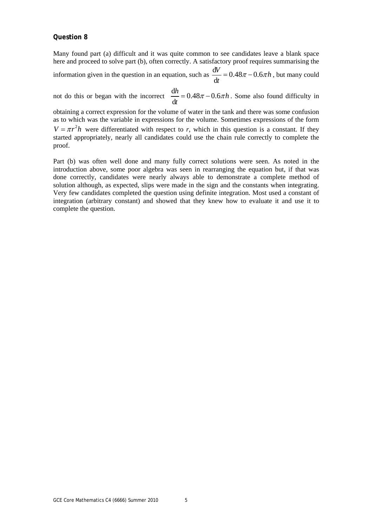#### **Question 8**

Many found part (a) difficult and it was quite common to see candidates leave a blank space here and proceed to solve part (b), often correctly. A satisfactory proof requires summarising the information given in the question in an equation, such as  $\frac{dV}{dt} = 0.48 \pi - 0.6$ d  $\frac{W}{dt} = 0.48\pi - 0.6\pi h$ , but many could

not do this or began with the incorrect  $\frac{dh}{1} = 0.48\pi - 0.6$ d  $\frac{h}{h} = 0.48\pi - 0.6\pi h$ *t*  $= 0.48\pi - 0.6\pi h$ . Some also found difficulty in

obtaining a correct expression for the volume of water in the tank and there was some confusion as to which was the variable in expressions for the volume. Sometimes expressions of the form  $V = \pi r^2 h$  were differentiated with respect to *r*, which in this question is a constant. If they started appropriately, nearly all candidates could use the chain rule correctly to complete the proof.

Part (b) was often well done and many fully correct solutions were seen. As noted in the introduction above, some poor algebra was seen in rearranging the equation but, if that was done correctly, candidates were nearly always able to demonstrate a complete method of solution although, as expected, slips were made in the sign and the constants when integrating. Very few candidates completed the question using definite integration. Most used a constant of integration (arbitrary constant) and showed that they knew how to evaluate it and use it to complete the question.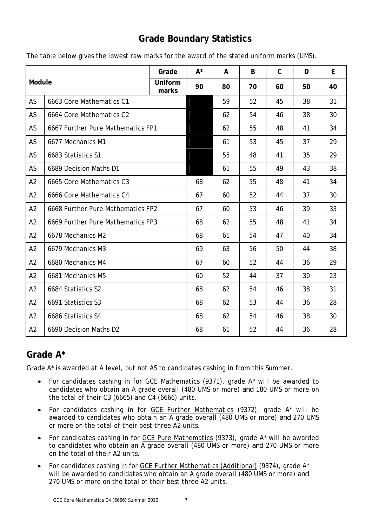## **Grade Boundary Statistics**

| Module         |                                   | Grade            | $A^*$ | A  | B  | $\mathsf{C}$ | D  | E  |
|----------------|-----------------------------------|------------------|-------|----|----|--------------|----|----|
|                |                                   | Uniform<br>marks | 90    | 80 | 70 | 60           | 50 | 40 |
| AS             | 6663 Core Mathematics C1          |                  |       | 59 | 52 | 45           | 38 | 31 |
| AS             | 6664 Core Mathematics C2          |                  |       | 62 | 54 | 46           | 38 | 30 |
| AS             | 6667 Further Pure Mathematics FP1 |                  |       | 62 | 55 | 48           | 41 | 34 |
| AS             | 6677 Mechanics M1                 |                  |       | 61 | 53 | 45           | 37 | 29 |
| AS             | 6683 Statistics S1                |                  |       | 55 | 48 | 41           | 35 | 29 |
| AS             | 6689 Decision Maths D1            |                  |       | 61 | 55 | 49           | 43 | 38 |
| A2             | 6665 Core Mathematics C3          |                  | 68    | 62 | 55 | 48           | 41 | 34 |
| A2             | 6666 Core Mathematics C4          |                  | 67    | 60 | 52 | 44           | 37 | 30 |
| A2             | 6668 Further Pure Mathematics FP2 |                  | 67    | 60 | 53 | 46           | 39 | 33 |
| A2             | 6669 Further Pure Mathematics FP3 |                  | 68    | 62 | 55 | 48           | 41 | 34 |
| A2             | 6678 Mechanics M2                 |                  | 68    | 61 | 54 | 47           | 40 | 34 |
| A <sub>2</sub> | 6679 Mechanics M3                 |                  | 69    | 63 | 56 | 50           | 44 | 38 |
| A <sub>2</sub> | 6680 Mechanics M4                 |                  | 67    | 60 | 52 | 44           | 36 | 29 |
| A2             | 6681 Mechanics M5                 |                  | 60    | 52 | 44 | 37           | 30 | 23 |
| A2             | 6684 Statistics S2                |                  | 68    | 62 | 54 | 46           | 38 | 31 |
| A2             | 6691 Statistics S3                |                  | 68    | 62 | 53 | 44           | 36 | 28 |
| A2             | 6686 Statistics S4                |                  | 68    | 62 | 54 | 46           | 38 | 30 |
| A2             | 6690 Decision Maths D2            |                  | 68    | 61 | 52 | 44           | 36 | 28 |

The table below gives the lowest raw marks for the award of the stated uniform marks (UMS).

## **Grade A\***

Grade A\* is awarded at A level, but not AS to candidates cashing in from this Summer.

- For candidates cashing in for GCE Mathematics (9371), grade A\* will be awarded to candidates who obtain an A grade overall (480 UMS or more) *and* 180 UMS or more on the total of their C3 (6665) and C4 (6666) units.
- For candidates cashing in for GCE Further Mathematics (9372), grade A\* will be awarded to candidates who obtain an A grade overall (480 UMS or more) *and* 270 UMS or more on the total of their best three A2 units.
- For candidates cashing in for GCE Pure Mathematics (9373), grade A\* will be awarded to candidates who obtain an A grade overall (480 UMS or more) *and* 270 UMS or more on the total of their A2 units.
- For candidates cashing in for GCE Further Mathematics (Additional) (9374), grade A\* will be awarded to candidates who obtain an A grade overall (480 UMS or more) *and*  270 UMS or more on the total of their best three A2 units.